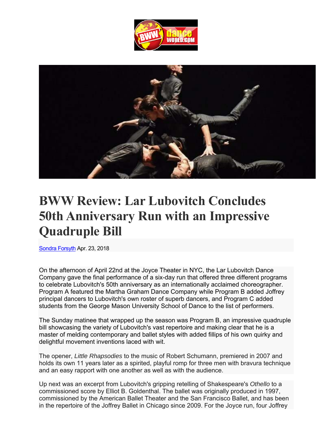



## **BWW Review: Lar Lubovitch Concludes 50th Anniversary Run with an Impressive Quadruple Bill**

Sondra Forsyth Apr. 23, 2018

On the afternoon of April 22nd at the Joyce Theater in NYC, the Lar Lubovitch Dance Company gave the final performance of a six-day run that offered three different programs to celebrate Lubovitch's 50th anniversary as an internationally acclaimed choreographer. Program A featured the Martha Graham Dance Company while Program B added Joffrey principal dancers to Lubovitch's own roster of superb dancers, and Program C added students from the George Mason University School of Dance to the list of performers.

The Sunday matinee that wrapped up the season was Program B, an impressive quadruple bill showcasing the variety of Lubovitch's vast repertoire and making clear that he is a master of melding contemporary and ballet styles with added fillips of his own quirky and delightful movement inventions laced with wit.

The opener, *Little Rhapsodies* to the music of Robert Schumann, premiered in 2007 and holds its own 11 years later as a spirited, playful romp for three men with bravura technique and an easy rapport with one another as well as with the audience.

Up next was an excerpt from Lubovitch's gripping retelling of Shakespeare's *Othello* to a commissioned score by Elliot B. Goldenthal. The ballet was originally produced in 1997, commissioned by the American Ballet Theater and the San Francisco Ballet, and has been in the repertoire of the Joffrey Ballet in Chicago since 2009. For the Joyce run, four Joffrey